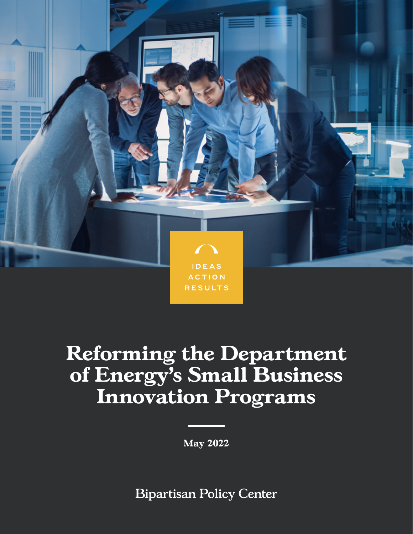

# **Reforming the Department of Energy's Small Business Innovation Programs**

**May 2022**

**Bipartisan Policy Center**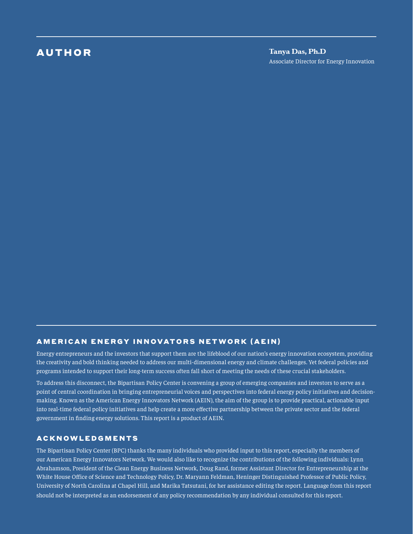### AUTHOR

**Tanya Das, Ph.D** Associate Director for Energy Innovation

#### [AMERICAN ENERGY INNOVATORS NETWORK \(AEIN\)](https://americanenergyinnovation.org/)

Energy entrepreneurs and the investors that support them are the lifeblood of our nation's energy innovation ecosystem, providing the creativity and bold thinking needed to address our multi-dimensional energy and climate challenges. Yet federal policies and programs intended to support their long-term success often fall short of meeting the needs of these crucial stakeholders.

To address this disconnect, the Bipartisan Policy Center is convening a group of emerging companies and investors to serve as a point of central coordination in bringing entrepreneurial voices and perspectives into federal energy policy initiatives and decisionmaking. Known as the American Energy Innovators Network (AEIN), the aim of the group is to provide practical, actionable input into real-time federal policy initiatives and help create a more effective partnership between the private sector and the federal government in finding energy solutions. This report is a product of AEIN.

#### ACKNOWLEDGMENTS

The Bipartisan Policy Center (BPC) thanks the many individuals who provided input to this report, especially the members of our American Energy Innovators Network. We would also like to recognize the contributions of the following individuals: Lynn Abrahamson, President of the Clean Energy Business Network, Doug Rand, former Assistant Director for Entrepreneurship at the White House Office of Science and Technology Policy, Dr. Maryann Feldman, Heninger Distinguished Professor of Public Policy, University of North Carolina at Chapel Hill, and Marika Tatsutani, for her assistance editing the report. Language from this report should not be interpreted as an endorsement of any policy recommendation by any individual consulted for this report.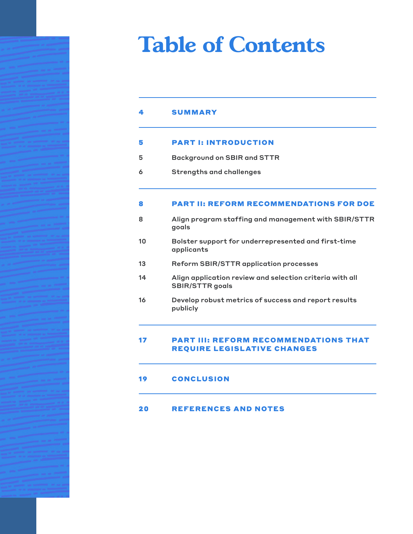# **Table of Contents**

#### [PART I: INTRODUCTION](#page-4-0) [5](#page-4-0)

- [Background on SBIR and STTR](#page-4-1) [5](#page-4-1)
- [Strengths and challenges](#page-5-0) [6](#page-5-1)

#### [PART II: REFORM RECOMMENDATIONS FOR DOE](#page-7-0) [8](#page-7-0)

- [Align program staffing and management with SBIR/STTR](#page-7-1)  [goals](#page-7-1) [8](#page-7-1)
- [Bolster support for underrepresented and first-time](#page-9-0)  [applicants](#page-9-0) [10](#page-9-0)
- [Reform SBIR/STTR application processes](#page-12-0) [13](#page-12-0)
- [Align application review and selection criteria with all](#page-13-0)  [SBIR/STTR goals](#page-13-0) [14](#page-13-0)
- [Develop robust metrics of success and report results](#page-15-0)  [publicly](#page-15-0) [16](#page-15-0)

#### [PART III: REFORM RECOMMENDATIONS THAT](#page-16-0)  [REQUIRE LEGISLATIVE CHANGES](#page-16-0) [17](#page-16-0)

**[CONCLUSION](#page-18-0)** [19](#page-18-0)

#### [REFERENCES AND NOTES](#page-19-0) [20](#page-19-0)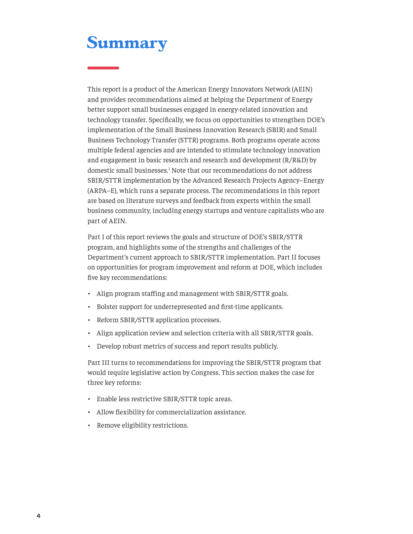### <span id="page-3-1"></span><span id="page-3-0"></span>**Summary**

This report is a product of the American Energy Innovators Network (AEIN) and provides recommendations aimed at helping the Department of Energy better support small businesses engaged in energy-related innovation and technology transfer. Specifically, we focus on opportunities to strengthen DOE's implementation of the Small Business Innovation Research (SBIR) and Small Business Technology Transfer (STTR) programs. Both programs operate across multiple federal agencies and are intended to stimulate technology innovation and engagement in basic research and research and development (R/R&D) by domestic small businesses.<sup>[1](#page-19-1)</sup> Note that our recommendations do not address SBIR/STTR implementation by the Advanced Research Projects Agency–Energy (ARPA–E), which runs a separate process. The recommendations in this report are based on literature surveys and feedback from experts within the small business community, including energy startups and venture capitalists who are part of AEIN.

Part I of this report reviews the goals and structure of DOE's SBIR/STTR program, and highlights some of the strengths and challenges of the Department's current approach to SBIR/STTR implementation. Part II focuses on opportunities for program improvement and reform at DOE, which includes five key recommendations:

- Align program staffing and management with SBIR/STTR goals.
- Bolster support for underrepresented and first-time applicants.
- Reform SBIR/STTR application processes.
- Align application review and selection criteria with all SBIR/STTR goals.
- Develop robust metrics of success and report results publicly.

Part III turns to recommendations for improving the SBIR/STTR program that would require legislative action by Congress. This section makes the case for three key reforms:

- Enable less restrictive SBIR/STTR topic areas.
- Allow flexibility for commercialization assistance.
- Remove eligibility restrictions.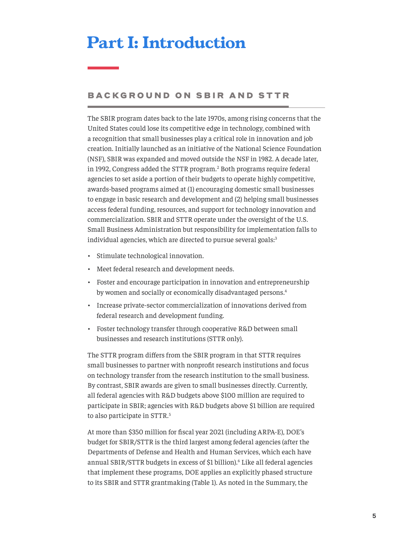## <span id="page-4-2"></span><span id="page-4-0"></span>**Part I: Introduction**

#### <span id="page-4-1"></span>BACKGROUND ON SBIR AND STTR

The SBIR program dates back to the late 1970s, among rising concerns that the United States could lose its competitive edge in technology, combined with a recognition that small businesses play a critical role in innovation and job creation. Initially launched as an initiative of the National Science Foundation (NSF), SBIR was expanded and moved outside the NSF in 1982. A decade later, in 199[2](#page-19-1), Congress added the STTR program.<sup>2</sup> Both programs require federal agencies to set aside a portion of their budgets to operate highly competitive, awards-based programs aimed at (1) encouraging domestic small businesses to engage in basic research and development and (2) helping small businesses access federal funding, resources, and support for technology innovation and commercialization. SBIR and STTR operate under the oversight of the U.S. Small Business Administration but responsibility for implementation falls to individual agencies, which are directed to pursue several goals:<sup>[3](#page-19-1)</sup>

- Stimulate technological innovation.
- Meet federal research and development needs.
- Foster and encourage participation in innovation and entrepreneurship by women and socially or economically disadvantaged persons.<sup>4</sup>
- Increase private-sector commercialization of innovations derived from federal research and development funding.
- Foster technology transfer through cooperative R&D between small businesses and research institutions (STTR only).

The STTR program differs from the SBIR program in that STTR requires small businesses to partner with nonprofit research institutions and focus on technology transfer from the research institution to the small business. By contrast, SBIR awards are given to small businesses directly. Currently, all federal agencies with R&D budgets above \$100 million are required to participate in SBIR; agencies with R&D budgets above \$1 billion are required to also participate in STTR.<sup>[5](#page-19-1)</sup>

At more than \$350 million for fiscal year 2021 (including ARPA-E), DOE's budget for SBIR/STTR is the third largest among federal agencies (after the Departments of Defense and Health and Human Services, which each have annual SBIR/STTR budgets in excess of \$1 billion).<sup>[6](#page-19-1)</sup> Like all federal agencies that implement these programs, DOE applies an explicitly phased structure to its SBIR and STTR grantmaking (Table 1). As noted in the Summary, the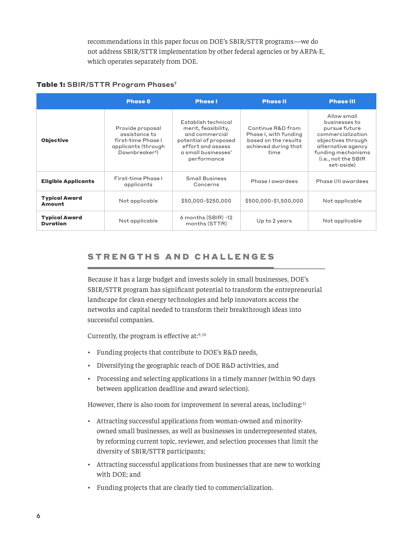recommendations in this paper focus on DOE's SBIR/STTR programs—we do not address SBIR/STTR implementation by other federal agencies or by ARPA-E, which operates separately from DOE.

#### <span id="page-5-2"></span>Table 1: SBIR/STTR Program Phases<sup>7</sup>

|                                       | <b>Phase 0</b>                                                                                               | <b>Phase I</b>                                                                                                                                   | <b>Phase II</b>                                                                                    | <b>Phase III</b>                                                                                                                                                          |
|---------------------------------------|--------------------------------------------------------------------------------------------------------------|--------------------------------------------------------------------------------------------------------------------------------------------------|----------------------------------------------------------------------------------------------------|---------------------------------------------------------------------------------------------------------------------------------------------------------------------------|
| <b>Objective</b>                      | Provide proposal<br>assistance to<br>first-time Phase I<br>applicants (through<br>Dawnbreaker <sup>8</sup> ) | Establish technical<br>merit, feasibility,<br>and commercial<br>potential of proposed<br>effort and assess<br>a small businesses'<br>performance | Continue R&D from<br>Phase I, with funding<br>based on the results<br>achieved during that<br>time | Allow small<br>businesses to<br>pursue future<br>commercialization<br>objectives through<br>alternative agency<br>funding mechanisms<br>(i.e., not the SBIR<br>set-aside) |
| <b>Eligible Applicants</b>            | First-time Phase I<br>applicants                                                                             | <b>Small Business</b><br>Concerns                                                                                                                | Phase I awardees                                                                                   | Phase I/II awardees                                                                                                                                                       |
| <b>Typical Award</b><br><b>Amount</b> | Not applicable                                                                                               | \$50,000-\$250,000                                                                                                                               | \$500,000-\$1,500,000                                                                              | Not applicable                                                                                                                                                            |
| <b>Typical Award</b><br>Duration      | Not applicable                                                                                               | 6 months (SBIR) -12<br>months (STTR)                                                                                                             | Up to 2 years                                                                                      | Not applicable                                                                                                                                                            |

#### <span id="page-5-1"></span><span id="page-5-0"></span>STRENGTHS AND CHALLENGES

Because it has a large budget and invests solely in small businesses, DOE's SBIR/STTR program has significant potential to transform the entrepreneurial landscape for clean energy technologies and help innovators access the networks and capital needed to transform their breakthrough ideas into successful companies.

Currently, the program is effective at: $9,10$  $9,10$ 

- Funding projects that contribute to DOE's R&D needs,
- Diversifying the geographic reach of DOE R&D activities, and
- Processing and selecting applications in a timely manner (within 90 days between application deadline and award selection).

However, there is also room for improvement in several areas, including: $11$ 

- Attracting successful applications from woman-owned and minorityowned small businesses, as well as businesses in underrepresented states, by reforming current topic, reviewer, and selection processes that limit the diversity of SBIR/STTR participants;
- Attracting successful applications from businesses that are new to working with DOE; and
- Funding projects that are clearly tied to commercialization.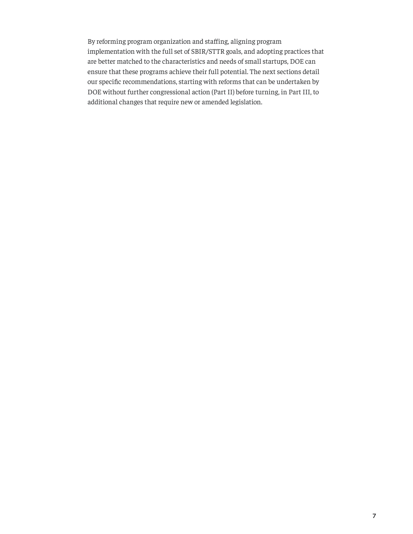By reforming program organization and staffing, aligning program implementation with the full set of SBIR/STTR goals, and adopting practices that are better matched to the characteristics and needs of small startups, DOE can ensure that these programs achieve their full potential. The next sections detail our specific recommendations, starting with reforms that can be undertaken by DOE without further congressional action (Part II) before turning, in Part III, to additional changes that require new or amended legislation.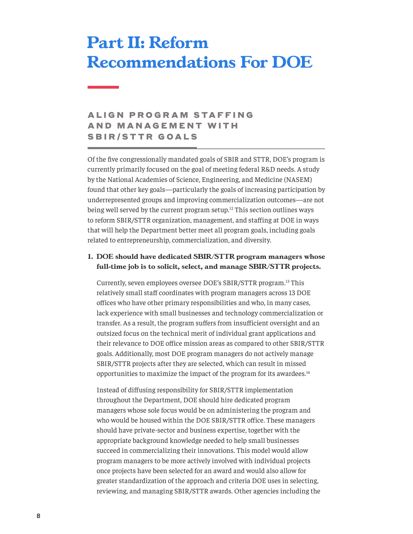## <span id="page-7-2"></span><span id="page-7-0"></span>**Part II: Reform Recommendations For DOE**

### <span id="page-7-1"></span>**ALIGN PROGRAM STAFFING** A N D M A N A G E M E N T W I T H SBIR/STTR GOALS

Of the five congressionally mandated goals of SBIR and STTR, DOE's program is currently primarily focused on the goal of meeting federal R&D needs. A study by the National Academies of Science, Engineering, and Medicine (NASEM) found that other key goals—particularly the goals of increasing participation by underrepresented groups and improving commercialization outcomes—are not being well served by the current program setup.<sup>[12](#page-20-0)</sup> This section outlines ways to reform SBIR/STTR organization, management, and staffing at DOE in ways that will help the Department better meet all program goals, including goals related to entrepreneurship, commercialization, and diversity.

**1. DOE should have dedicated SBIR/STTR program managers whose full-time job is to solicit, select, and manage SBIR/STTR projects.**

Currently, seven employees oversee DOE's SBIR/STTR program.[13](#page-20-0) This relatively small staff coordinates with program managers across 13 DOE offices who have other primary responsibilities and who, in many cases, lack experience with small businesses and technology commercialization or transfer. As a result, the program suffers from insufficient oversight and an outsized focus on the technical merit of individual grant applications and their relevance to DOE office mission areas as compared to other SBIR/STTR goals. Additionally, most DOE program managers do not actively manage SBIR/STTR projects after they are selected, which can result in missed opportunities to maximize the impact of the program for its awardees.<sup>[14](#page-20-0)</sup>

Instead of diffusing responsibility for SBIR/STTR implementation throughout the Department, DOE should hire dedicated program managers whose sole focus would be on administering the program and who would be housed within the DOE SBIR/STTR office. These managers should have private-sector and business expertise, together with the appropriate background knowledge needed to help small businesses succeed in commercializing their innovations. This model would allow program managers to be more actively involved with individual projects once projects have been selected for an award and would also allow for greater standardization of the approach and criteria DOE uses in selecting, reviewing, and managing SBIR/STTR awards. Other agencies including the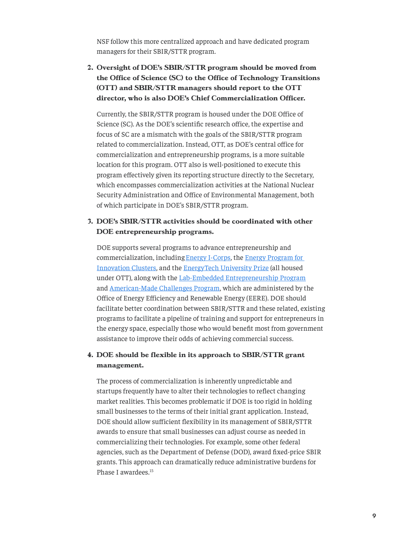<span id="page-8-0"></span>NSF follow this more centralized approach and have dedicated program managers for their SBIR/STTR program.

**2. Oversight of DOE's SBIR/STTR program should be moved from the Office of Science (SC) to the Office of Technology Transitions (OTT) and SBIR/STTR managers should report to the OTT director, who is also DOE's Chief Commercialization Officer.**

Currently, the SBIR/STTR program is housed under the DOE Office of Science (SC). As the DOE's scientific research office, the expertise and focus of SC are a mismatch with the goals of the SBIR/STTR program related to commercialization. Instead, OTT, as DOE's central office for commercialization and entrepreneurship programs, is a more suitable location for this program. OTT also is well-positioned to execute this program effectively given its reporting structure directly to the Secretary, which encompasses commercialization activities at the National Nuclear Security Administration and Office of Environmental Management, both of which participate in DOE's SBIR/STTR program.

#### **3. DOE's SBIR/STTR activities should be coordinated with other DOE entrepreneurship programs.**

DOE supports several programs to advance entrepreneurship and commercialization, including[Energy I-Corps](https://www.energy.gov/technologytransitions/energy-i-corps), the [Energy Program for](https://www.energy.gov/technologytransitions/energy-program-innovation-clusters)  [Innovation Clusters,](https://www.energy.gov/technologytransitions/energy-program-innovation-clusters) and the [EnergyTech University Prize](https://www.energy.gov/technologytransitions/energytech-university-prize) (all housed under OTT), along with the [Lab-Embedded Entrepreneurship Program](https://www.energy.gov/eere/amo/lab-embedded-entrepreneurship-program) and [American-Made Challenges Program](https://americanmadechallenges.org/), which are administered by the Office of Energy Efficiency and Renewable Energy (EERE). DOE should facilitate better coordination between SBIR/STTR and these related, existing programs to facilitate a pipeline of training and support for entrepreneurs in the energy space, especially those who would benefit most from government assistance to improve their odds of achieving commercial success.

#### **4. DOE should be flexible in its approach to SBIR/STTR grant management.**

The process of commercialization is inherently unpredictable and startups frequently have to alter their technologies to reflect changing market realities. This becomes problematic if DOE is too rigid in holding small businesses to the terms of their initial grant application. Instead, DOE should allow sufficient flexibility in its management of SBIR/STTR awards to ensure that small businesses can adjust course as needed in commercializing their technologies. For example, some other federal agencies, such as the Department of Defense (DOD), award fixed-price SBIR grants. This approach can dramatically reduce administrative burdens for Phase I awardees.[15](#page-20-0)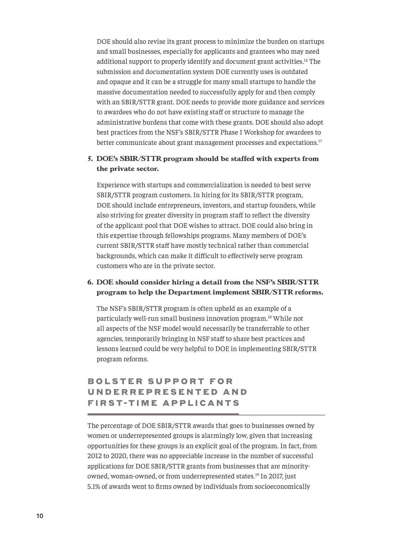<span id="page-9-1"></span>DOE should also revise its grant process to minimize the burden on startups and small businesses, especially for applicants and grantees who may need additional support to properly identify and document grant activities.[16](#page-20-0) The submission and documentation system DOE currently uses is outdated and opaque and it can be a struggle for many small startups to handle the massive documentation needed to successfully apply for and then comply with an SBIR/STTR grant. DOE needs to provide more guidance and services to awardees who do not have existing staff or structure to manage the administrative burdens that come with these grants. DOE should also adopt best practices from the NSF's SBIR/STTR Phase I Workshop for awardees to better communicate about grant management processes and expectations.<sup>[17](#page-20-0)</sup>

#### **5. DOE's SBIR/STTR program should be staffed with experts from the private sector.**

Experience with startups and commercialization is needed to best serve SBIR/STTR program customers. In hiring for its SBIR/STTR program, DOE should include entrepreneurs, investors, and startup founders, while also striving for greater diversity in program staff to reflect the diversity of the applicant pool that DOE wishes to attract. DOE could also bring in this expertise through fellowships programs. Many members of DOE's current SBIR/STTR staff have mostly technical rather than commercial backgrounds, which can make it difficult to effectively serve program customers who are in the private sector.

#### **6. DOE should consider hiring a detail from the NSF's SBIR/STTR program to help the Department implement SBIR/STTR reforms.**

The NSF's SBIR/STTR program is often upheld as an example of a particularly well-run small business innovation program.[18](#page-20-0) While not all aspects of the NSF model would necessarily be transferrable to other agencies, temporarily bringing in NSF staff to share best practices and lessons learned could be very helpful to DOE in implementing SBIR/STTR program reforms.

### <span id="page-9-0"></span>BOLSTER SUPPORT FOR U N D E R R E P R E S E N T E D A N D FIRST-TIME APPLICANTS

The percentage of DOE SBIR/STTR awards that goes to businesses owned by women or underrepresented groups is alarmingly low, given that increasing opportunities for these groups is an explicit goal of the program. In fact, from 2012 to 2020, there was no appreciable increase in the number of successful applications for DOE SBIR/STTR grants from businesses that are minority-owned, woman-owned, or from underrepresented states.<sup>[19](#page-20-0)</sup> In 2017, just 5.1% of awards went to firms owned by individuals from socioeconomically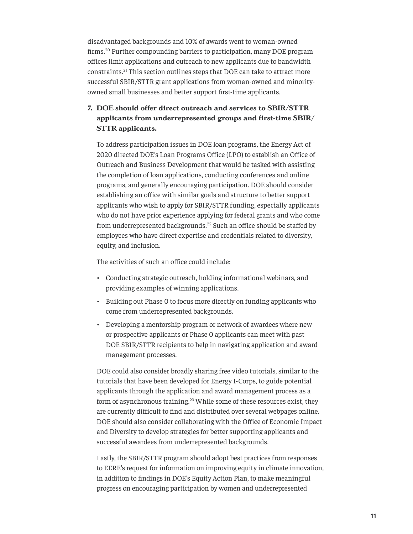<span id="page-10-0"></span>disadvantaged backgrounds and 10% of awards went to woman-owned firms.[20](#page-20-0) Further compounding barriers to participation, many DOE program offices limit applications and outreach to new applicants due to bandwidth constraints.[21](#page-20-0) This section outlines steps that DOE can take to attract more successful SBIR/STTR grant applications from woman-owned and minorityowned small businesses and better support first-time applicants.

#### **7. DOE should offer direct outreach and services to SBIR/STTR applicants from underrepresented groups and first-time SBIR/ STTR applicants.**

To address participation issues in DOE loan programs, the Energy Act of 2020 directed DOE's Loan Programs Office (LPO) to establish an Office of Outreach and Business Development that would be tasked with assisting the completion of loan applications, conducting conferences and online programs, and generally encouraging participation. DOE should consider establishing an office with similar goals and structure to better support applicants who wish to apply for SBIR/STTR funding, especially applicants who do not have prior experience applying for federal grants and who come from underrepresented backgrounds.<sup>22</sup> Such an office should be staffed by employees who have direct expertise and credentials related to diversity, equity, and inclusion.

The activities of such an office could include:

- Conducting strategic outreach, holding informational webinars, and providing examples of winning applications.
- Building out Phase 0 to focus more directly on funding applicants who come from underrepresented backgrounds.
- Developing a mentorship program or network of awardees where new or prospective applicants or Phase 0 applicants can meet with past DOE SBIR/STTR recipients to help in navigating application and award management processes.

DOE could also consider broadly sharing free video tutorials, similar to the tutorials that have been developed for Energy I-Corps, to guide potential applicants through the application and award management process as a form of asynchronous training.<sup>[23](#page-20-0)</sup> While some of these resources exist, they are currently difficult to find and distributed over several webpages online. DOE should also consider collaborating with the Office of Economic Impact and Diversity to develop strategies for better supporting applicants and successful awardees from underrepresented backgrounds.

Lastly, the SBIR/STTR program should adopt best practices from responses to EERE's request for information on improving equity in climate innovation, in addition to findings in DOE's Equity Action Plan, to make meaningful progress on encouraging participation by women and underrepresented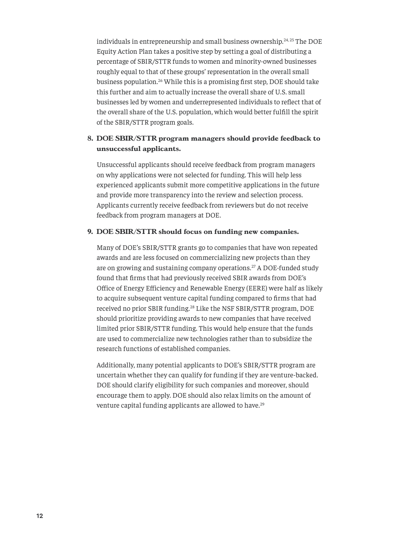<span id="page-11-0"></span>individuals in entrepreneurship and small business ownership.[24](#page-20-0), 25 The DOE Equity Action Plan takes a positive step by setting a goal of distributing a percentage of SBIR/STTR funds to women and minority-owned businesses roughly equal to that of these groups' representation in the overall small business population.[26](#page-21-0) While this is a promising first step, DOE should take this further and aim to actually increase the overall share of U.S. small businesses led by women and underrepresented individuals to reflect that of the overall share of the U.S. population, which would better fulfill the spirit of the SBIR/STTR program goals.

#### **8. DOE SBIR/STTR program managers should provide feedback to unsuccessful applicants.**

Unsuccessful applicants should receive feedback from program managers on why applications were not selected for funding. This will help less experienced applicants submit more competitive applications in the future and provide more transparency into the review and selection process. Applicants currently receive feedback from reviewers but do not receive feedback from program managers at DOE.

#### **9. DOE SBIR/STTR should focus on funding new companies.**

Many of DOE's SBIR/STTR grants go to companies that have won repeated awards and are less focused on commercializing new projects than they are on growing and sustaining company operations.[27](#page-21-0) A DOE-funded study found that firms that had previously received SBIR awards from DOE's Office of Energy Efficiency and Renewable Energy (EERE) were half as likely to acquire subsequent venture capital funding compared to firms that had received no prior SBIR funding.[28](#page-21-0) Like the NSF SBIR/STTR program, DOE should prioritize providing awards to new companies that have received limited prior SBIR/STTR funding. This would help ensure that the funds are used to commercialize new technologies rather than to subsidize the research functions of established companies.

Additionally, many potential applicants to DOE's SBIR/STTR program are uncertain whether they can qualify for funding if they are venture-backed. DOE should clarify eligibility for such companies and moreover, should encourage them to apply. DOE should also relax limits on the amount of venture capital funding applicants are allowed to have.<sup>[29](#page-21-0)</sup>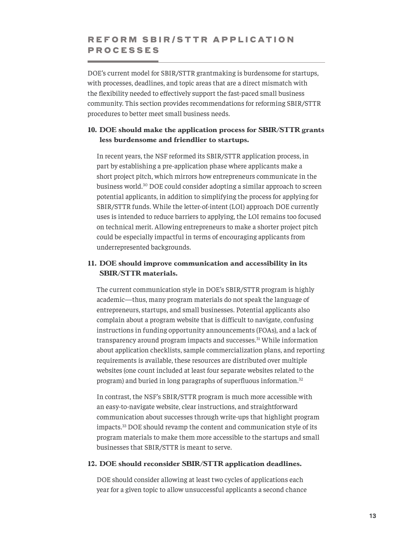#### <span id="page-12-1"></span><span id="page-12-0"></span>REFORM SBIR/STTR APPLICATION PROCESSES

DOE's current model for SBIR/STTR grantmaking is burdensome for startups, with processes, deadlines, and topic areas that are a direct mismatch with the flexibility needed to effectively support the fast-paced small business community. This section provides recommendations for reforming SBIR/STTR procedures to better meet small business needs.

#### **10. DOE should make the application process for SBIR/STTR grants less burdensome and friendlier to startups.**

In recent years, the NSF reformed its SBIR/STTR application process, in part by establishing a pre-application phase where applicants make a short project pitch, which mirrors how entrepreneurs communicate in the business world.[30](#page-21-0) DOE could consider adopting a similar approach to screen potential applicants, in addition to simplifying the process for applying for SBIR/STTR funds. While the letter-of-intent (LOI) approach DOE currently uses is intended to reduce barriers to applying, the LOI remains too focused on technical merit. Allowing entrepreneurs to make a shorter project pitch could be especially impactful in terms of encouraging applicants from underrepresented backgrounds.

#### **11. DOE should improve communication and accessibility in its SBIR/STTR materials.**

The current communication style in DOE's SBIR/STTR program is highly academic—thus, many program materials do not speak the language of entrepreneurs, startups, and small businesses. Potential applicants also complain about a program website that is difficult to navigate, confusing instructions in funding opportunity announcements (FOAs), and a lack of transparency around program impacts and successes.[31](#page-21-0) While information about application checklists, sample commercialization plans, and reporting requirements is available, these resources are distributed over multiple websites (one count included at least four separate websites related to the program) and buried in long paragraphs of superfluous information.[32](#page-21-0)

In contrast, the NSF's SBIR/STTR program is much more accessible with an easy-to-navigate website, clear instructions, and straightforward communication about successes through write-ups that highlight program impacts.[33](#page-21-0) DOE should revamp the content and communication style of its program materials to make them more accessible to the startups and small businesses that SBIR/STTR is meant to serve.

#### **12. DOE should reconsider SBIR/STTR application deadlines.**

DOE should consider allowing at least two cycles of applications each year for a given topic to allow unsuccessful applicants a second chance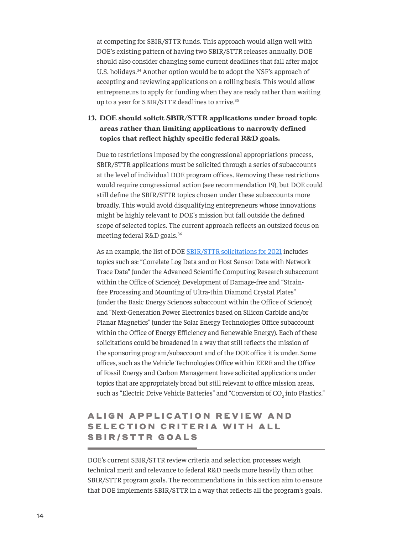<span id="page-13-1"></span>at competing for SBIR/STTR funds. This approach would align well with DOE's existing pattern of having two SBIR/STTR releases annually. DOE should also consider changing some current deadlines that fall after major U.S. holidays.[34](#page-21-0) Another option would be to adopt the NSF's approach of accepting and reviewing applications on a rolling basis. This would allow entrepreneurs to apply for funding when they are ready rather than waiting up to a year for SBIR/STTR deadlines to arrive.<sup>[35](#page-21-0)</sup>

#### **13. DOE should solicit SBIR/STTR applications under broad topic areas rather than limiting applications to narrowly defined topics that reflect highly specific federal R&D goals.**

Due to restrictions imposed by the congressional appropriations process, SBIR/STTR applications must be solicited through a series of subaccounts at the level of individual DOE program offices. Removing these restrictions would require congressional action (see recommendation 19), but DOE could still define the SBIR/STTR topics chosen under these subaccounts more broadly. This would avoid disqualifying entrepreneurs whose innovations might be highly relevant to DOE's mission but fall outside the defined scope of selected topics. The current approach reflects an outsized focus on meeting federal R&D goals.[36](#page-21-0)

As an example, the list of DOE [SBIR/STTR solicitations](https://science.osti.gov/sbir/Funding-Opportunities) for 2021 includes topics such as: "Correlate Log Data and or Host Sensor Data with Network Trace Data" (under the Advanced Scientific Computing Research subaccount within the Office of Science); Development of Damage-free and "Strainfree Processing and Mounting of Ultra-thin Diamond Crystal Plates" (under the Basic Energy Sciences subaccount within the Office of Science); and "Next-Generation Power Electronics based on Silicon Carbide and/or Planar Magnetics" (under the Solar Energy Technologies Office subaccount within the Office of Energy Efficiency and Renewable Energy). Each of these solicitations could be broadened in a way that still reflects the mission of the sponsoring program/subaccount and of the DOE office it is under. Some offices, such as the Vehicle Technologies Office within EERE and the Office of Fossil Energy and Carbon Management have solicited applications under topics that are appropriately broad but still relevant to office mission areas, such as "Electric Drive Vehicle Batteries" and "Conversion of CO<sub>2</sub> into Plastics."

### <span id="page-13-0"></span>ALIGN APPLICATION REVIEW AND SELECTION CRITERIA WITH ALL SBIR/STTR GOALS

DOE's current SBIR/STTR review criteria and selection processes weigh technical merit and relevance to federal R&D needs more heavily than other SBIR/STTR program goals. The recommendations in this section aim to ensure that DOE implements SBIR/STTR in a way that reflects all the program's goals.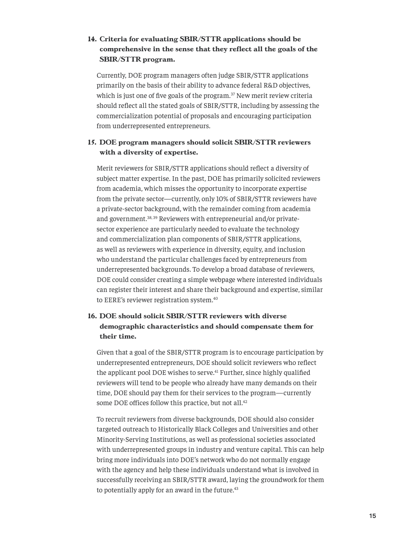#### <span id="page-14-0"></span>**14. Criteria for evaluating SBIR/STTR applications should be comprehensive in the sense that they reflect all the goals of the SBIR/STTR program.**

Currently, DOE program managers often judge SBIR/STTR applications primarily on the basis of their ability to advance federal R&D objectives, which is just one of five goals of the program.<sup>[37](#page-21-0)</sup> New merit review criteria should reflect all the stated goals of SBIR/STTR, including by assessing the commercialization potential of proposals and encouraging participation from underrepresented entrepreneurs.

#### **15. DOE program managers should solicit SBIR/STTR reviewers with a diversity of expertise.**

Merit reviewers for SBIR/STTR applications should reflect a diversity of subject matter expertise. In the past, DOE has primarily solicited reviewers from academia, which misses the opportunity to incorporate expertise from the private sector—currently, only 10% of SBIR/STTR reviewers have a private-sector background, with the remainder coming from academia and government.<sup>38, [39](#page-21-0)</sup> Reviewers with entrepreneurial and/or privatesector experience are particularly needed to evaluate the technology and commercialization plan components of SBIR/STTR applications, as well as reviewers with experience in diversity, equity, and inclusion who understand the particular challenges faced by entrepreneurs from underrepresented backgrounds. To develop a broad database of reviewers, DOE could consider creating a simple webpage where interested individuals can register their interest and share their background and expertise, similar to EERE's reviewer registration system.<sup>[40](#page-22-0)</sup>

#### **16. DOE should solicit SBIR/STTR reviewers with diverse demographic characteristics and should compensate them for their time.**

Given that a goal of the SBIR/STTR program is to encourage participation by underrepresented entrepreneurs, DOE should solicit reviewers who reflect the applicant pool DOE wishes to serve. $41$  Further, since highly qualified reviewers will tend to be people who already have many demands on their time, DOE should pay them for their services to the program—currently some DOE offices follow this practice, but not all.<sup>42</sup>

To recruit reviewers from diverse backgrounds, DOE should also consider targeted outreach to Historically Black Colleges and Universities and other Minority-Serving Institutions, as well as professional societies associated with underrepresented groups in industry and venture capital. This can help bring more individuals into DOE's network who do not normally engage with the agency and help these individuals understand what is involved in successfully receiving an SBIR/STTR award, laying the groundwork for them to potentially apply for an award in the future.<sup>43</sup>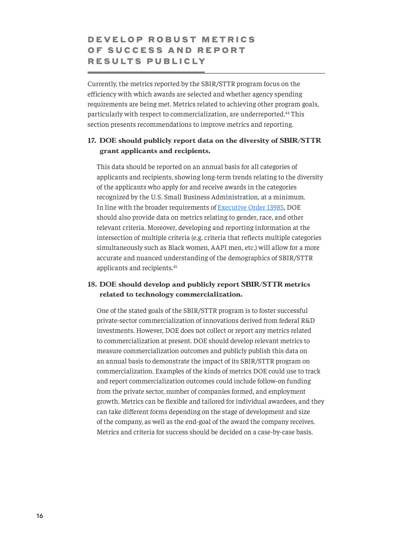### <span id="page-15-1"></span><span id="page-15-0"></span>D E V E L O P R O B U S T M E T R I C S OF SUCCESS AND REPORT RESULTS PUBLICLY

Currently, the metrics reported by the SBIR/STTR program focus on the efficiency with which awards are selected and whether agency spending requirements are being met. Metrics related to achieving other program goals, particularly with respect to commercialization, are underreported.<sup>[44](#page-22-0)</sup> This section presents recommendations to improve metrics and reporting.

#### **17. DOE should publicly report data on the diversity of SBIR/STTR grant applicants and recipients.**

This data should be reported on an annual basis for all categories of applicants and recipients, showing long-term trends relating to the diversity of the applicants who apply for and receive awards in the categories recognized by the U.S. Small Business Administration, at a minimum. In line with the broader requirements of [Executive Order 13985](https://www.whitehouse.gov/briefing-room/presidential-actions/2021/01/20/executive-order-advancing-racial-equity-and-support-for-underserved-communities-through-the-federal-government/), DOE should also provide data on metrics relating to gender, race, and other relevant criteria. Moreover, developing and reporting information at the intersection of multiple criteria (e.g. criteria that reflects multiple categories simultaneously such as Black women, AAPI men, etc.) will allow for a more accurate and nuanced understanding of the demographics of SBIR/STTR applicants and recipients.[45](#page-22-0)

#### **18. DOE should develop and publicly report SBIR/STTR metrics related to technology commercialization.**

One of the stated goals of the SBIR/STTR program is to foster successful private-sector commercialization of innovations derived from federal R&D investments. However, DOE does not collect or report any metrics related to commercialization at present. DOE should develop relevant metrics to measure commercialization outcomes and publicly publish this data on an annual basis to demonstrate the impact of its SBIR/STTR program on commercialization. Examples of the kinds of metrics DOE could use to track and report commercialization outcomes could include follow-on funding from the private sector, number of companies formed, and employment growth. Metrics can be flexible and tailored for individual awardees, and they can take different forms depending on the stage of development and size of the company, as well as the end-goal of the award the company receives. Metrics and criteria for success should be decided on a case-by-case basis.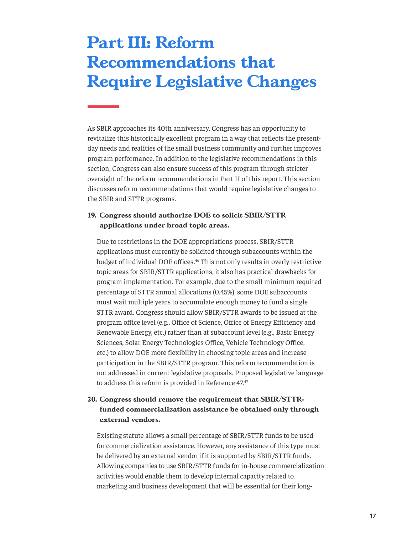## <span id="page-16-1"></span><span id="page-16-0"></span>**Part III: Reform Recommendations that Require Legislative Changes**

As SBIR approaches its 40th anniversary, Congress has an opportunity to revitalize this historically excellent program in a way that reflects the presentday needs and realities of the small business community and further improves program performance. In addition to the legislative recommendations in this section, Congress can also ensure success of this program through stricter oversight of the reform recommendations in Part II of this report. This section discusses reform recommendations that would require legislative changes to the SBIR and STTR programs.

#### **19. Congress should authorize DOE to solicit SBIR/STTR applications under broad topic areas.**

Due to restrictions in the DOE appropriations process, SBIR/STTR applications must currently be solicited through subaccounts within the budget of individual DOE offices.<sup>46</sup> This not only results in overly restrictive topic areas for SBIR/STTR applications, it also has practical drawbacks for program implementation. For example, due to the small minimum required percentage of STTR annual allocations (0.45%), some DOE subaccounts must wait multiple years to accumulate enough money to fund a single STTR award. Congress should allow SBIR/STTR awards to be issued at the program office level (e.g., Office of Science, Office of Energy Efficiency and Renewable Energy, etc.) rather than at subaccount level (e.g., Basic Energy Sciences, Solar Energy Technologies Office, Vehicle Technology Office, etc.) to allow DOE more flexibility in choosing topic areas and increase participation in the SBIR/STTR program. This reform recommendation is not addressed in current legislative proposals. Proposed legislative language to address this reform is provided in Reference [47](#page-22-0).47

#### **20. Congress should remove the requirement that SBIR/STTRfunded commercialization assistance be obtained only through external vendors.**

Existing statute allows a small percentage of SBIR/STTR funds to be used for commercialization assistance. However, any assistance of this type must be delivered by an external vendor if it is supported by SBIR/STTR funds. Allowing companies to use SBIR/STTR funds for in-house commercialization activities would enable them to develop internal capacity related to marketing and business development that will be essential for their long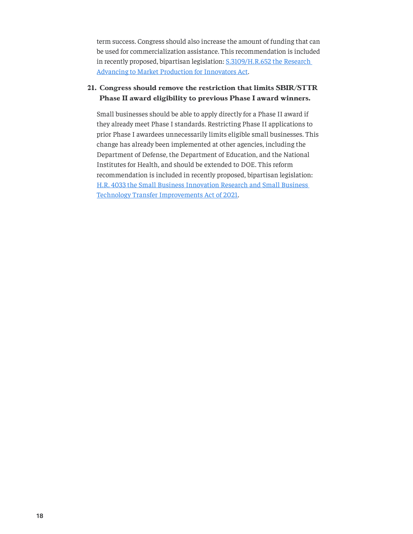term success. Congress should also increase the amount of funding that can be used for commercialization assistance. This recommendation is included in recently proposed, bipartisan legislation: [S.3109/H.R.652 the Research](https://www.congress.gov/bill/117th-congress/senate-bill/3109)  [Advancing to Market Production for Innovators Act](https://www.congress.gov/bill/117th-congress/senate-bill/3109).

#### **21. Congress should remove the restriction that limits SBIR/STTR Phase II award eligibility to previous Phase I award winners.**

Small businesses should be able to apply directly for a Phase II award if they already meet Phase I standards. Restricting Phase II applications to prior Phase I awardees unnecessarily limits eligible small businesses. This change has already been implemented at other agencies, including the Department of Defense, the Department of Education, and the National Institutes for Health, and should be extended to DOE. This reform recommendation is included in recently proposed, bipartisan legislation: [H.R. 4033 the Small Business Innovation Research and Small Business](https://www.congress.gov/bill/117th-congress/house-bill/4033)  [Technology Transfer Improvements Act of 2021](https://www.congress.gov/bill/117th-congress/house-bill/4033).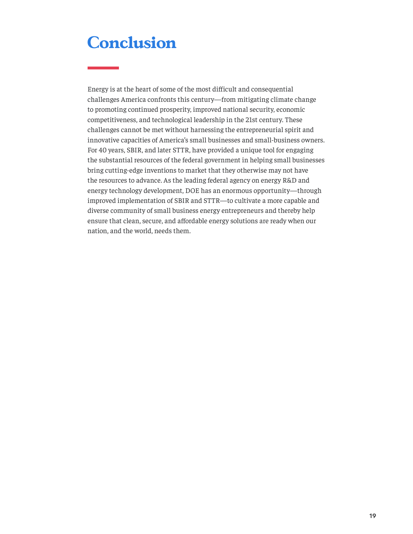## <span id="page-18-0"></span>**Conclusion**

Energy is at the heart of some of the most difficult and consequential challenges America confronts this century—from mitigating climate change to promoting continued prosperity, improved national security, economic competitiveness, and technological leadership in the 21st century. These challenges cannot be met without harnessing the entrepreneurial spirit and innovative capacities of America's small businesses and small-business owners. For 40 years, SBIR, and later STTR, have provided a unique tool for engaging the substantial resources of the federal government in helping small businesses bring cutting-edge inventions to market that they otherwise may not have the resources to advance. As the leading federal agency on energy R&D and energy technology development, DOE has an enormous opportunity—through improved implementation of SBIR and STTR—to cultivate a more capable and diverse community of small business energy entrepreneurs and thereby help ensure that clean, secure, and affordable energy solutions are ready when our nation, and the world, needs them.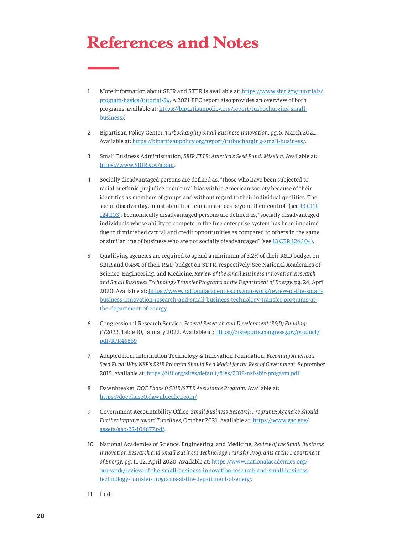## <span id="page-19-1"></span><span id="page-19-0"></span>**References and Notes**

- [1](#page-3-1) More information about SBIR and STTR is available at: [https://www.sbir.gov/tutorials/](https://www.sbir.gov/tutorials/program-basics/tutorial-5) [program-basics/tutorial-5#](https://www.sbir.gov/tutorials/program-basics/tutorial-5). A 2021 BPC report also provides an overview of both programs, available at: [https://bipartisanpolicy.org/report/turbocharging-small](https://bipartisanpolicy.org/report/turbocharging-small-business/)[business/](https://bipartisanpolicy.org/report/turbocharging-small-business/).
- [2](#page-4-2) Bipartisan Policy Center, *Turbocharging Small Business Innovation*, pg. 5, March 2021. Available at: <https://bipartisanpolicy.org/report/turbocharging-small-business/>.
- [3](#page-4-2) Small Business Administration, *SBIR STTR: America's Seed Fund: Mission*. Available at: <https://www.SBIR.gov/about>.
- [4](#page-4-2) Socially disadvantaged persons are defined as, "those who have been subjected to racial or ethnic prejudice or cultural bias within American society because of their identities as members of groups and without regard to their individual qualities. The social disadvantage must stem from circumstances beyond their control" (see 13 CFR [124.103](https://www.ecfr.gov/current/title-13/chapter-I/part-124/subpart-A/subject-group-ECFR4ef1291a4a984ab/section-124.103)). Economically disadvantaged persons are defined as, "socially disadvantaged individuals whose ability to compete in the free enterprise system has been impaired due to diminished capital and credit opportunities as compared to others in the same or similar line of business who are not socially disadvantaged" (see [13 CFR 124.104](https://www.ecfr.gov/current/title-13/chapter-I/part-124/subpart-A/subject-group-ECFR4ef1291a4a984ab/section-124.104)).
- [5](#page-4-2) Qualifying agencies are required to spend a minimum of 3.2% of their R&D budget on SBIR and 0.45% of their R&D budget on STTR, respectively. See National Academies of Science, Engineering, and Medicine, *Review of the Small Business Innovation Research and Small Business Technology Transfer Programs at the Department of Energy*, pg. 24, April 2020. Available at: [https://www.nationalacademies.org/our-work/review-of-the-small](https://www.nationalacademies.org/our-work/review-of-the-small-business-innovation-research-and-small-business-technology-transfer-programs-at-the-department-of-energy)[business-innovation-research-and-small-business-technology-transfer-programs-at](https://www.nationalacademies.org/our-work/review-of-the-small-business-innovation-research-and-small-business-technology-transfer-programs-at-the-department-of-energy)[the-department-of-energy](https://www.nationalacademies.org/our-work/review-of-the-small-business-innovation-research-and-small-business-technology-transfer-programs-at-the-department-of-energy).
- [6](#page-4-2) Congressional Research Service, *Federal Research and Development (R&D) Funding: FY2022*, Table 10, January 2022. Available at: [https://crsreports.congress.gov/product/](https://crsreports.congress.gov/product/pdf/R/R46869) [pdf/R/R46869](https://crsreports.congress.gov/product/pdf/R/R46869)
- [7](#page-5-2) Adapted from Information Technology & Innovation Foundation, *Becoming America's Seed Fund: Why NSF's SBIR Program Should Be a Model for the Rest of Government*, September 2019. Available at:<https://itif.org/sites/default/files/2019-nsf-sbir-program.pdf>
- [8](#page-5-2) Dawnbreaker, *DOE Phase 0 SBIR/STTR Assistance Program*. Available at: https://[doephase0.dawnbreaker.com/](https://doephase0.dawnbreaker.com/).
- [9](#page-5-2) Government Accountability Office, *Small Business Research Programs: Agencies Should Further Improve Award Timelines*, October 2021. Available at: [https://www.gao.gov/](https://www.gao.gov/assets/gao-22-104677.pdf) [assets/gao-22-104677.pdf](https://www.gao.gov/assets/gao-22-104677.pdf).
- [10](#page-5-2) National Academies of Science, Engineering, and Medicine, *Review of the Small Business Innovation Research and Small Business Technology Transfer Programs at the Department of Energy*, pg. 11-12, April 2020. Available at: [https://www.nationalacademies.org/](https://www.nationalacademies.org/our-work/review-of-the-small-business-innovation-research-and-small-business-technology-transfer-programs-at-the-department-of-energy) [our-work/review-of-the-small-business-innovation-research-and-small-business](https://www.nationalacademies.org/our-work/review-of-the-small-business-innovation-research-and-small-business-technology-transfer-programs-at-the-department-of-energy)[technology-transfer-programs-at-the-department-of-energy.](https://www.nationalacademies.org/our-work/review-of-the-small-business-innovation-research-and-small-business-technology-transfer-programs-at-the-department-of-energy)
- [11](#page-5-2) Ibid.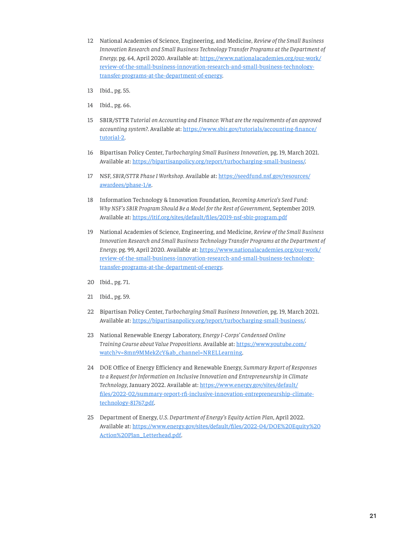- <span id="page-20-0"></span>[12](#page-7-2) National Academies of Science, Engineering, and Medicine, *Review of the Small Business Innovation Research and Small Business Technology Transfer Programs at the Department of Energy*, pg. 64, April 2020. Available at: [https://www.nationalacademies.org/our-work/](https://www.nationalacademies.org/our-work/review-of-the-small-business-innovation-research-and-small-business-technology-transfer-programs-at-the-department-of-energy) [review-of-the-small-business-innovation-research-and-small-business-technology](https://www.nationalacademies.org/our-work/review-of-the-small-business-innovation-research-and-small-business-technology-transfer-programs-at-the-department-of-energy)[transfer-programs-at-the-department-of-energy.](https://www.nationalacademies.org/our-work/review-of-the-small-business-innovation-research-and-small-business-technology-transfer-programs-at-the-department-of-energy)
- [13](#page-7-2) Ibid., pg. 55.
- [14](#page-7-2) Ibid., pg. 66.
- [15](#page-8-0) SBIR/STTR *Tutorial on Accounting and Finance: What are the requirements of an approved accounting system?*. Available at: [https://www.sbir.gov/tutorials/accounting-finance/](https://www.sbir.gov/tutorials/accounting-finance/tutorial-2) [tutorial-2](https://www.sbir.gov/tutorials/accounting-finance/tutorial-2).
- [16](#page-9-1) Bipartisan Policy Center, *Turbocharging Small Business Innovation*, pg. 19, March 2021. Available at: <https://bipartisanpolicy.org/report/turbocharging-small-business/>.
- [17](#page-9-1) NSF, *SBIR/STTR Phase I Workshop*. Available at: [https://seedfund.nsf.gov/resources/](https://seedfund.nsf.gov/resources/awardees/phase-1/) [awardees/phase-1/#](https://seedfund.nsf.gov/resources/awardees/phase-1/).
- [18](#page-9-1) Information Technology & Innovation Foundation, *Becoming America's Seed Fund: Why NSF's SBIR Program Should Be a Model for the Rest of Government*, September 2019. Available at: <https://itif.org/sites/default/files/2019-nsf-sbir-program.pdf>
- [19](#page-9-1) National Academies of Science, Engineering, and Medicine, *Review of the Small Business Innovation Research and Small Business Technology Transfer Programs at the Department of Energy*, pg. 99, April 2020. Available at: [https://www.nationalacademies.org/our-work/](https://www.nationalacademies.org/our-work/review-of-the-small-business-innovation-research-and-small-business-technology-transfer-programs-at-the-department-of-energy) [review-of-the-small-business-innovation-research-and-small-business-technology](https://www.nationalacademies.org/our-work/review-of-the-small-business-innovation-research-and-small-business-technology-transfer-programs-at-the-department-of-energy)[transfer-programs-at-the-department-of-energy.](https://www.nationalacademies.org/our-work/review-of-the-small-business-innovation-research-and-small-business-technology-transfer-programs-at-the-department-of-energy)
- [20](#page-10-0) Ibid., pg. 71.
- [21](#page-10-0) Ibid., pg. 59.
- [22](#page-10-0) Bipartisan Policy Center, *Turbocharging Small Business Innovation*, pg. 19, March 2021. Available at: <https://bipartisanpolicy.org/report/turbocharging-small-business/>.
- [23](#page-10-0) National Renewable Energy Laboratory, *Energy I-Corps' Condensed Online Training Course about Value Propositions*. Available at: [https://www.youtube.com/](https://www.youtube.com/watch?v=8mn9MMekZcY&ab_channel=NRELLearning) [watch?v=8mn9MMekZcY&ab\\_channel=NRELLearning](https://www.youtube.com/watch?v=8mn9MMekZcY&ab_channel=NRELLearning).
- [24](#page-11-0) DOE Office of Energy Efficiency and Renewable Energy, *Summary Report of Responses to a Request for Information on Inclusive Innovation and Entrepreneurship in Climate Technology*, January 2022. Available at: [https://www.energy.gov/sites/default/](https://www.energy.gov/sites/default/files/2022-02/summary-report-rfi-inclusive-innovation-entrepreneurship-climate-technology-81767.pdf) [files/2022-02/summary-report-rfi-inclusive-innovation-entrepreneurship-climate](https://www.energy.gov/sites/default/files/2022-02/summary-report-rfi-inclusive-innovation-entrepreneurship-climate-technology-81767.pdf)[technology-81767.pdf](https://www.energy.gov/sites/default/files/2022-02/summary-report-rfi-inclusive-innovation-entrepreneurship-climate-technology-81767.pdf).
- [25](#page-11-0) Department of Energy, *U.S. Department of Energy's Equity Action Plan*, April 2022. Available at: [https://www.energy.gov/sites/default/files/2022-04/DOE%20Equity%20](https://www.energy.gov/sites/default/files/2022-04/DOE%20Equity%20Action%20Plan_Letterhead.pdf) [Action%20Plan\\_Letterhead.pdf](https://www.energy.gov/sites/default/files/2022-04/DOE%20Equity%20Action%20Plan_Letterhead.pdf).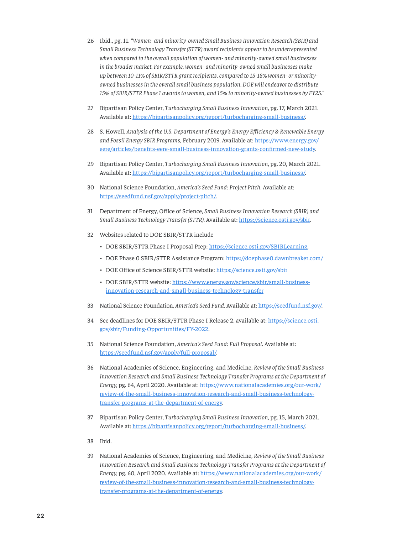- <span id="page-21-0"></span>[26](#page-11-0) Ibid., pg. 11. *"Women- and minority-owned Small Business Innovation Research (SBIR) and Small Business Technology Transfer (STTR) award recipients appear to be underrepresented when compared to the overall population of women- and minority-owned small businesses in the broader market. For example, women- and minority-owned small businesses make up between 10-11% of SBIR/STTR grant recipients, compared to 15-18% women- or minorityowned businesses in the overall small business population. DOE will endeavor to distribute 15% of SBIR/STTR Phase 1 awards to women, and 15% to minority-owned businesses by FY25."*
- [27](#page-11-0) Bipartisan Policy Center, *Turbocharging Small Business Innovation*, pg. 17, March 2021. Available at: <https://bipartisanpolicy.org/report/turbocharging-small-business/>.
- [28](#page-11-0) S. Howell, *Analysis of the U.S. Department of Energy's Energy Efficiency & Renewable Energy and Fossil Energy SBIR Programs*, February 2019. Available at: [https://www.energy.gov/](https://www.energy.gov/eere/articles/benefits-eere-small-business-innovation-grants-confirmed-new-study) [eere/articles/benefits-eere-small-business-innovation-grants-confirmed-new-study](https://www.energy.gov/eere/articles/benefits-eere-small-business-innovation-grants-confirmed-new-study).
- [29](#page-11-0) Bipartisan Policy Center, *Turbocharging Small Business Innovation*, pg. 20, March 2021. Available at: <https://bipartisanpolicy.org/report/turbocharging-small-business/>.
- [30](#page-12-1) National Science Foundation, *America's Seed Fund: Project Pitch*. Available at: https://[seedfund.nsf.gov/apply/project-pitch/](https://seedfund.nsf.gov/apply/project-pitch/).
- [31](#page-12-1) Department of Energy, Office of Science, *Small Business Innovation Research (SBIR) and Small Business Technology Transfer (STTR)*. Available at: [https://science.osti.gov/sbir.](https://science.osti.gov/sbir)
- [32](#page-12-1) Websites related to DOE SBIR/STTR include
	- DOE SBIR/STTR Phase I Proposal Prep: <https://science.osti.gov/SBIRLearning>,
	- DOE Phase 0 SBIR/STTR Assistance Program:<https://doephase0.dawnbreaker.com/>
	- DOE Office of Science SBIR/STTR website: <https://science.osti.gov/sbir>
	- DOE SBIR/STTR website: [https://www.energy.gov/science/sbir/small-business](https://www.energy.gov/science/sbir/small-business-innovation-research-and-small-business-technology-transfer)[innovation-research-and-small-business-technology-transfer](https://www.energy.gov/science/sbir/small-business-innovation-research-and-small-business-technology-transfer)
- [33](#page-12-1) National Science Foundation, *America's Seed Fund*. Available at: [https://seedfund.nsf.gov/.](https://seedfund.nsf.gov/)
- [34](#page-13-1) See deadlines for DOE SBIR/STTR Phase I Release 2, available at: [https://science.osti.](https://science.osti.gov/sbir/Funding-Opportunities/FY-2022) [gov/sbir/Funding-Opportunities/FY-2022](https://science.osti.gov/sbir/Funding-Opportunities/FY-2022).
- [35](#page-13-1) National Science Foundation, *America's Seed Fund: Full Proposal*. Available at: [https://seedfund.nsf.gov/apply/full-proposal/.](https://seedfund.nsf.gov/apply/full-proposal/)
- [36](#page-13-1) National Academies of Science, Engineering, and Medicine, *Review of the Small Business Innovation Research and Small Business Technology Transfer Programs at the Department of Energy*, pg. 64, April 2020. Available at: [https://www.nationalacademies.org/our-work/](https://www.nationalacademies.org/our-work/review-of-the-small-business-innovation-research-and-small-business-technology-transfer-programs-at-the-department-of-energy) [review-of-the-small-business-innovation-research-and-small-business-technology](https://www.nationalacademies.org/our-work/review-of-the-small-business-innovation-research-and-small-business-technology-transfer-programs-at-the-department-of-energy)[transfer-programs-at-the-department-of-energy.](https://www.nationalacademies.org/our-work/review-of-the-small-business-innovation-research-and-small-business-technology-transfer-programs-at-the-department-of-energy)
- [37](#page-14-0) Bipartisan Policy Center, *Turbocharging Small Business Innovation*, pg. 15, March 2021. Available at: <https://bipartisanpolicy.org/report/turbocharging-small-business/>.
- [38](#page-14-0) Ibid.
- [39](#page-14-0) National Academies of Science, Engineering, and Medicine, *Review of the Small Business Innovation Research and Small Business Technology Transfer Programs at the Department of Energy*, pg. 60, April 2020. Available at: [https://www.nationalacademies.org/our-work/](https://www.nationalacademies.org/our-work/review-of-the-small-business-innovation-research-and-small-business-technology-transfer-programs-at-the-department-of-energy) [review-of-the-small-business-innovation-research-and-small-business-technology](https://www.nationalacademies.org/our-work/review-of-the-small-business-innovation-research-and-small-business-technology-transfer-programs-at-the-department-of-energy)[transfer-programs-at-the-department-of-energy.](https://www.nationalacademies.org/our-work/review-of-the-small-business-innovation-research-and-small-business-technology-transfer-programs-at-the-department-of-energy)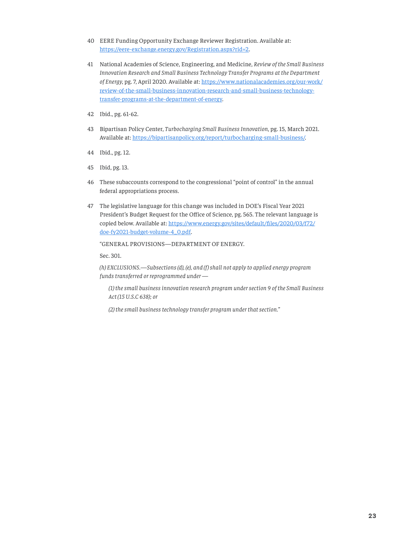- <span id="page-22-0"></span>[40](#page-14-0) EERE Funding Opportunity Exchange Reviewer Registration. Available at: https://eere-exchange.e[nergy.gov/Registration.aspx?rid=2](https://eere-exchange.energy.gov/Registration.aspx?rid=2).
- [41](#page-14-0) National Academies of Science, Engineering, and Medicine, *Review of the Small Business Innovation Research and Small Business Technology Transfer Programs at the Department of Energy*, pg. 7, April 2020. Available at: [https://www.nationalacademies.org/our-work/](https://www.nationalacademies.org/our-work/review-of-the-small-business-innovation-research-and-small-business-technology-transfer-programs-at-the-department-of-energy) [review-of-the-small-business-innovation-research-and-small-business-technology](https://www.nationalacademies.org/our-work/review-of-the-small-business-innovation-research-and-small-business-technology-transfer-programs-at-the-department-of-energy)[transfer-programs-at-the-department-of-energy.](https://www.nationalacademies.org/our-work/review-of-the-small-business-innovation-research-and-small-business-technology-transfer-programs-at-the-department-of-energy)
- [42](#page-14-0) Ibid., pg. 61-62.
- [43](#page-14-0) Bipartisan Policy Center, *Turbocharging Small Business Innovation*, pg. 15, March 2021. Available at: <https://bipartisanpolicy.org/report/turbocharging-small-business/>.
- [44](#page-15-1) Ibid., pg. 12.
- [45](#page-15-1) Ibid, pg. 13.
- [46](#page-16-1) These subaccounts correspond to the congressional "point of control" in the annual federal appropriations process.
- [47](#page-16-1) The legislative language for this change was included in DOE's Fiscal Year 2021 President's Budget Request for the Office of Science, pg. 565. The relevant language is copied below. Available at: [https://www.energy.gov/sites/default/files/2020/03/f72/](https://www.energy.gov/sites/default/files/2020/03/f72/doe-fy2021-budget-volume-4_0.pdf) [doe-fy2021-budget-volume-4\\_0.pdf](https://www.energy.gov/sites/default/files/2020/03/f72/doe-fy2021-budget-volume-4_0.pdf).

"GENERAL PROVISIONS—DEPARTMENT OF ENERGY.

Sec. 301.

*(h) EXCLUSIONS.—Subsections (d), (e), and (f ) shall not apply to applied energy program funds transferred or reprogrammed under —*

*(1) the small business innovation research program under section 9 of the Small Business Act (15 U.S.C 638); or*

*(2) the small business technology transfer program under that section."*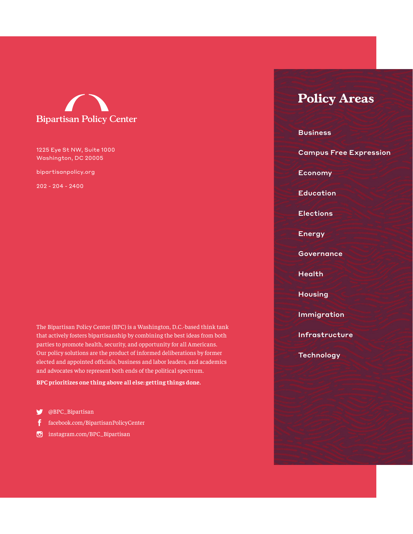

#### 1225 Eye St NW, Suite 1000 Washington, DC 20005

bipartisanpolicy.org

202 - 204 - 2400

The Bipartisan Policy Center (BPC) is a Washington, D.C.-based think tank that actively fosters bipartisanship by combining the best ideas from both parties to promote health, security, and opportunity for all Americans. Our policy solutions are the product of informed deliberations by former elected and appointed officials, business and labor leaders, and academics and advocates who represent both ends of the political spectrum.

#### **BPC prioritizes one thing above all else: getting things done.**

- @BPC\_Bipartisan
- [facebook.com/BipartisanPolicyCenter](http://facebook.com/BipartisanPolicyCenter)
- [instagram.com/BPC](http://instagram.com/BPC_Bipartisan)\_Bipartisan

### **Policy Areas**

**Business** Campus Free Expression Economy **Education** Elections Energy **Governance Health Housing** Immigration Infrastructure **Technology**